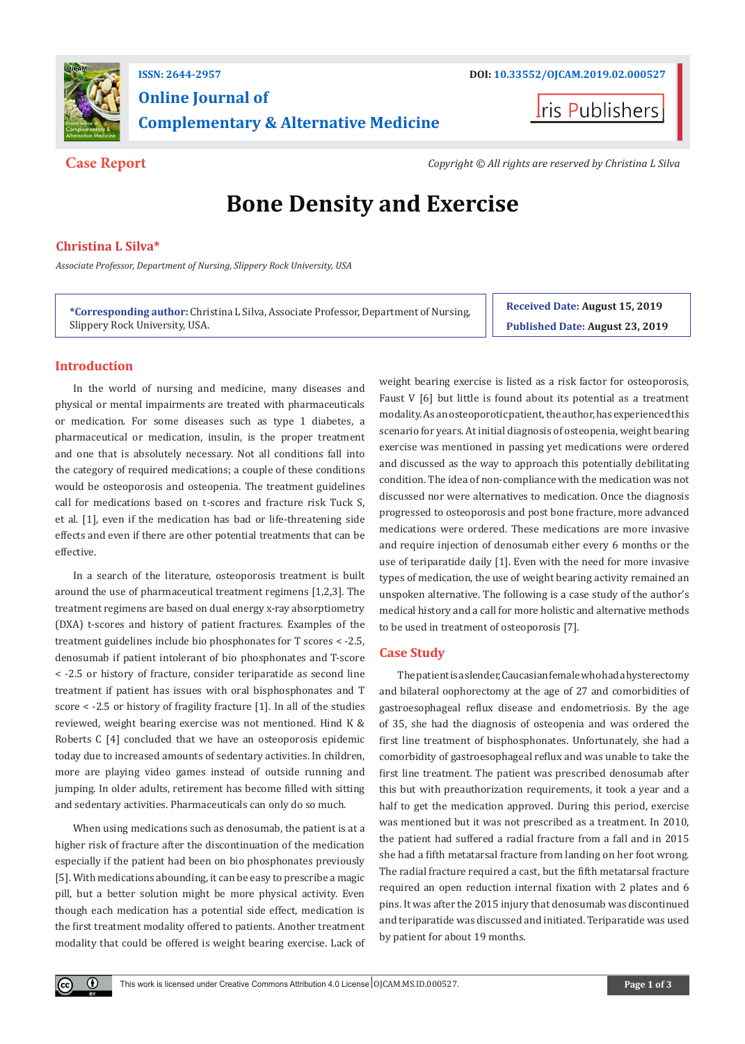

# **Online Journal of Complementary & Alternative Medicine**

**I**ris Publishers

**Case Report** *Copyright © All rights are reserved by Christina L Silva*

# **Bone Density and Exercise**

# **Christina L Silva\***

*Associate Professor, Department of Nursing, Slippery Rock University, USA*

**\*Corresponding author:** Christina L Silva, Associate Professor, Department of Nursing, Slippery Rock University, USA.

**Received Date: August 15, 2019 Published Date: August 23, 2019**

# **Introduction**

 $\bf \Theta$ 

In the world of nursing and medicine, many diseases and physical or mental impairments are treated with pharmaceuticals or medication. For some diseases such as type 1 diabetes, a pharmaceutical or medication, insulin, is the proper treatment and one that is absolutely necessary. Not all conditions fall into the category of required medications; a couple of these conditions would be osteoporosis and osteopenia. The treatment guidelines call for medications based on t-scores and fracture risk Tuck S, et al. [1], even if the medication has bad or life-threatening side effects and even if there are other potential treatments that can be effective.

In a search of the literature, osteoporosis treatment is built around the use of pharmaceutical treatment regimens [1,2,3]. The treatment regimens are based on dual energy x-ray absorptiometry (DXA) t-scores and history of patient fractures. Examples of the treatment guidelines include bio phosphonates for T scores < -2.5, denosumab if patient intolerant of bio phosphonates and T-score < -2.5 or history of fracture, consider teriparatide as second line treatment if patient has issues with oral bisphosphonates and T score < -2.5 or history of fragility fracture [1]. In all of the studies reviewed, weight bearing exercise was not mentioned. Hind K & Roberts C [4] concluded that we have an osteoporosis epidemic today due to increased amounts of sedentary activities. In children, more are playing video games instead of outside running and jumping. In older adults, retirement has become filled with sitting and sedentary activities. Pharmaceuticals can only do so much.

When using medications such as denosumab, the patient is at a higher risk of fracture after the discontinuation of the medication especially if the patient had been on bio phosphonates previously [5]. With medications abounding, it can be easy to prescribe a magic pill, but a better solution might be more physical activity. Even though each medication has a potential side effect, medication is the first treatment modality offered to patients. Another treatment modality that could be offered is weight bearing exercise. Lack of weight bearing exercise is listed as a risk factor for osteoporosis, Faust V [6] but little is found about its potential as a treatment modality. As an osteoporotic patient, the author, has experienced this scenario for years. At initial diagnosis of osteopenia, weight bearing exercise was mentioned in passing yet medications were ordered and discussed as the way to approach this potentially debilitating condition. The idea of non-compliance with the medication was not discussed nor were alternatives to medication. Once the diagnosis progressed to osteoporosis and post bone fracture, more advanced medications were ordered. These medications are more invasive and require injection of denosumab either every 6 months or the use of teriparatide daily [1]. Even with the need for more invasive types of medication, the use of weight bearing activity remained an unspoken alternative. The following is a case study of the author's medical history and a call for more holistic and alternative methods to be used in treatment of osteoporosis [7].

## **Case Study**

The patient is a slender, Caucasian female who had a hysterectomy and bilateral oophorectomy at the age of 27 and comorbidities of gastroesophageal reflux disease and endometriosis. By the age of 35, she had the diagnosis of osteopenia and was ordered the first line treatment of bisphosphonates. Unfortunately, she had a comorbidity of gastroesophageal reflux and was unable to take the first line treatment. The patient was prescribed denosumab after this but with preauthorization requirements, it took a year and a half to get the medication approved. During this period, exercise was mentioned but it was not prescribed as a treatment. In 2010, the patient had suffered a radial fracture from a fall and in 2015 she had a fifth metatarsal fracture from landing on her foot wrong. The radial fracture required a cast, but the fifth metatarsal fracture required an open reduction internal fixation with 2 plates and 6 pins. It was after the 2015 injury that denosumab was discontinued and teriparatide was discussed and initiated. Teriparatide was used by patient for about 19 months.